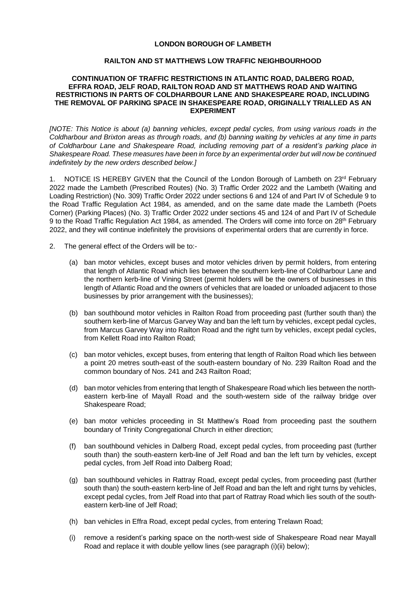## **LONDON BOROUGH OF LAMBETH**

## **RAILTON AND ST MATTHEWS LOW TRAFFIC NEIGHBOURHOOD**

## **CONTINUATION OF TRAFFIC RESTRICTIONS IN ATLANTIC ROAD, DALBERG ROAD, EFFRA ROAD, JELF ROAD, RAILTON ROAD AND ST MATTHEWS ROAD AND WAITING RESTRICTIONS IN PARTS OF COLDHARBOUR LANE AND SHAKESPEARE ROAD, INCLUDING THE REMOVAL OF PARKING SPACE IN SHAKESPEARE ROAD, ORIGINALLY TRIALLED AS AN EXPERIMENT**

*[NOTE: This Notice is about (a) banning vehicles, except pedal cycles, from using various roads in the Coldharbour and Brixton areas as through roads, and (b) banning waiting by vehicles at any time in parts of Coldharbour Lane and Shakespeare Road, including removing part of a resident's parking place in Shakespeare Road. These measures have been in force by an experimental order but will now be continued indefinitely by the new orders described below.]*

1. NOTICE IS HEREBY GIVEN that the Council of the London Borough of Lambeth on 23<sup>rd</sup> February 2022 made the Lambeth (Prescribed Routes) (No. 3) Traffic Order 2022 and the Lambeth (Waiting and Loading Restriction) (No. 309) Traffic Order 2022 under sections 6 and 124 of and Part IV of Schedule 9 to the Road Traffic Regulation Act 1984, as amended, and on the same date made the Lambeth (Poets Corner) (Parking Places) (No. 3) Traffic Order 2022 under sections 45 and 124 of and Part IV of Schedule 9 to the Road Traffic Regulation Act 1984, as amended. The Orders will come into force on 28<sup>th</sup> February 2022, and they will continue indefinitely the provisions of experimental orders that are currently in force.

- 2. The general effect of the Orders will be to:-
	- (a) ban motor vehicles, except buses and motor vehicles driven by permit holders, from entering that length of Atlantic Road which lies between the southern kerb-line of Coldharbour Lane and the northern kerb-line of Vining Street (permit holders will be the owners of businesses in this length of Atlantic Road and the owners of vehicles that are loaded or unloaded adjacent to those businesses by prior arrangement with the businesses);
	- (b) ban southbound motor vehicles in Railton Road from proceeding past (further south than) the southern kerb-line of Marcus Garvey Way and ban the left turn by vehicles, except pedal cycles, from Marcus Garvey Way into Railton Road and the right turn by vehicles, except pedal cycles, from Kellett Road into Railton Road;
	- (c) ban motor vehicles, except buses, from entering that length of Railton Road which lies between a point 20 metres south-east of the south-eastern boundary of No. 239 Railton Road and the common boundary of Nos. 241 and 243 Railton Road;
	- (d) ban motor vehicles from entering that length of Shakespeare Road which lies between the northeastern kerb-line of Mayall Road and the south-western side of the railway bridge over Shakespeare Road;
	- (e) ban motor vehicles proceeding in St Matthew's Road from proceeding past the southern boundary of Trinity Congregational Church in either direction;
	- (f) ban southbound vehicles in Dalberg Road, except pedal cycles, from proceeding past (further south than) the south-eastern kerb-line of Jelf Road and ban the left turn by vehicles, except pedal cycles, from Jelf Road into Dalberg Road;
	- (g) ban southbound vehicles in Rattray Road, except pedal cycles, from proceeding past (further south than) the south-eastern kerb-line of Jelf Road and ban the left and right turns by vehicles, except pedal cycles, from Jelf Road into that part of Rattray Road which lies south of the southeastern kerb-line of Jelf Road;
	- (h) ban vehicles in Effra Road, except pedal cycles, from entering Trelawn Road;
	- (i) remove a resident's parking space on the north-west side of Shakespeare Road near Mayall Road and replace it with double yellow lines (see paragraph (i)(ii) below);